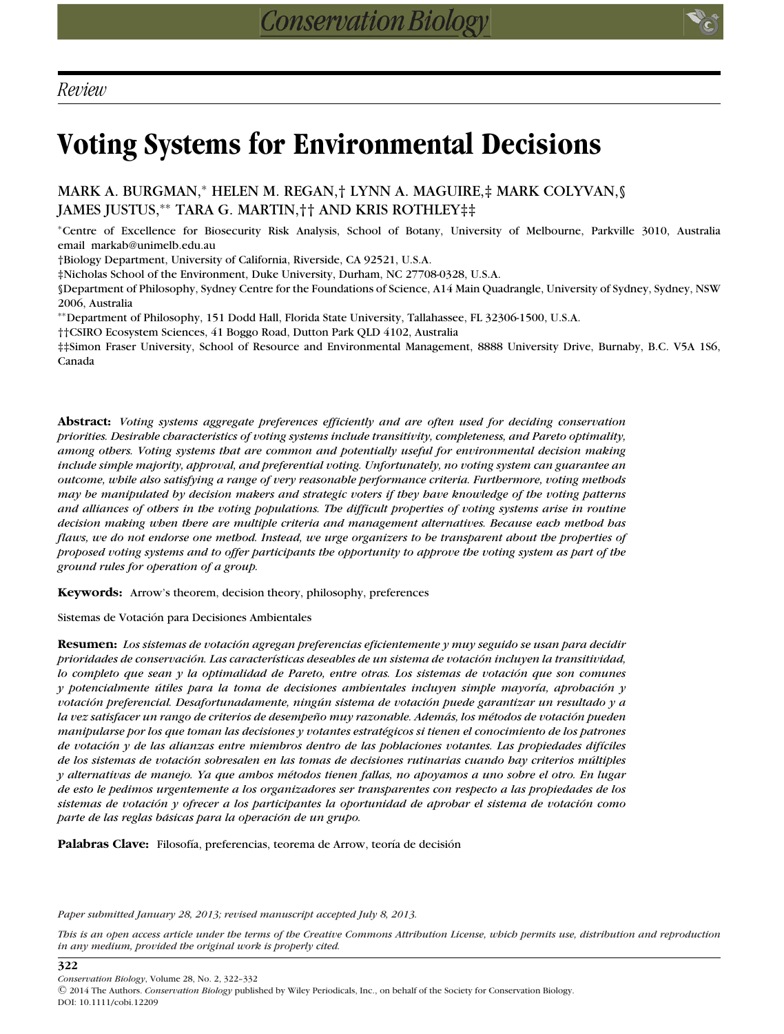# **Voting Systems for Environmental Decisions**

# MARK A. BURGMAN,<sup>∗</sup> HELEN M. REGAN,† LYNN A. MAGUIRE,‡ MARK COLYVAN,§ JAMES JUSTUS,∗∗ TARA G. MARTIN,†† AND KRIS ROTHLEY‡‡

<sup>∗</sup>Centre of Excellence for Biosecurity Risk Analysis, School of Botany, University of Melbourne, Parkville 3010, Australia email markab@unimelb.edu.au

†Biology Department, University of California, Riverside, CA 92521, U.S.A.

‡Nicholas School of the Environment, Duke University, Durham, NC 27708-0328, U.S.A.

§Department of Philosophy, Sydney Centre for the Foundations of Science, A14 Main Quadrangle, University of Sydney, Sydney, NSW 2006, Australia

∗∗Department of Philosophy, 151 Dodd Hall, Florida State University, Tallahassee, FL 32306-1500, U.S.A.

††CSIRO Ecosystem Sciences, 41 Boggo Road, Dutton Park QLD 4102, Australia

‡‡Simon Fraser University, School of Resource and Environmental Management, 8888 University Drive, Burnaby, B.C. V5A 1S6, Canada

**Abstract:** *Voting systems aggregate preferences efficiently and are often used for deciding conservation priorities. Desirable characteristics of voting systems include transitivity, completeness, and Pareto optimality, among others. Voting systems that are common and potentially useful for environmental decision making include simple majority, approval, and preferential voting. Unfortunately, no voting system can guarantee an outcome, while also satisfying a range of very reasonable performance criteria. Furthermore, voting methods may be manipulated by decision makers and strategic voters if they have knowledge of the voting patterns and alliances of others in the voting populations. The difficult properties of voting systems arise in routine decision making when there are multiple criteria and management alternatives. Because each method has flaws, we do not endorse one method. Instead, we urge organizers to be transparent about the properties of proposed voting systems and to offer participants the opportunity to approve the voting system as part of the ground rules for operation of a group.*

**Keywords:** Arrow's theorem, decision theory, philosophy, preferences

Sistemas de Votación para Decisiones Ambientales

**Resumen:** *Los sistemas de votacion agregan preferencias eficientemente y muy seguido se usan para decidir ´ prioridades de conservacion. Las caracter ´ ´ısticas deseables de un sistema de votacion incluyen la transitividad, ´ lo completo que sean y la optimalidad de Pareto, entre otras. Los sistemas de votacion que son comunes ´ y potencialmente utiles para la toma de decisiones ambientales incluyen simple mayor ´ ´ıa, aprobacion y ´ votacion preferencial. Desafortunadamente, ning ´ un sistema de votaci ´ on puede garantizar un resultado y a ´ la vez satisfacer un rango de criterios de desempeno muy razonable. Adem ˜ as, los m ´ ´etodos de votacion pueden ´ manipularse por los que toman las decisiones y votantes estrat´egicos si tienen el conocimiento de los patrones de votacion y de las alianzas entre miembros dentro de las poblaciones votantes. Las propiedades dif ´ ´ıciles de los sistemas de votacion sobresalen en las tomas de decisiones rutinarias cuando hay criterios m ´ ultiples ´ y alternativas de manejo. Ya que ambos m´etodos tienen fallas, no apoyamos a uno sobre el otro. En lugar de esto le pedimos urgentemente a los organizadores ser transparentes con respecto a las propiedades de los sistemas de votacion y ofrecer a los participantes la oportunidad de aprobar el sistema de votaci ´ on como ´ parte de las reglas basicas para la operaci ´ on de un grupo. ´*

Palabras Clave: Filosofía, preferencias, teorema de Arrow, teoría de decisión

*Paper submitted January 28, 2013; revised manuscript accepted July 8, 2013.*

**322**

*This is an open access article under the terms of the Creative Commons Attribution License, which permits use, distribution and reproduction in any medium, provided the original work is properly cited.*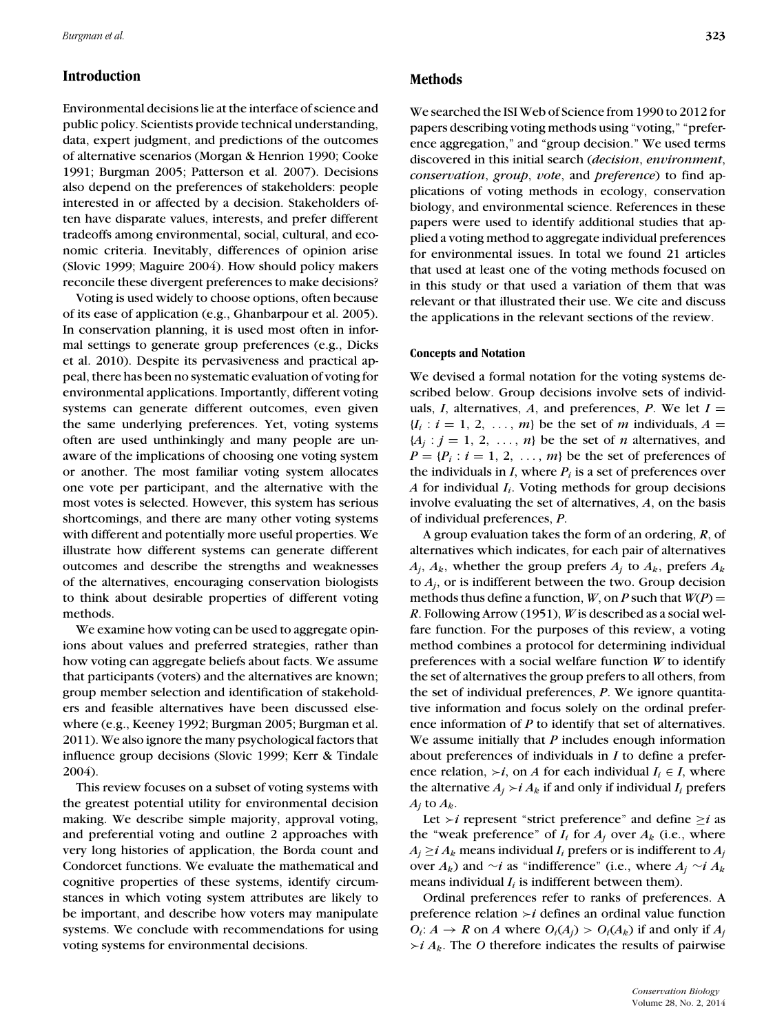# **Introduction**

Environmental decisions lie at the interface of science and public policy. Scientists provide technical understanding, data, expert judgment, and predictions of the outcomes of alternative scenarios (Morgan & Henrion 1990; Cooke 1991; Burgman 2005; Patterson et al. 2007). Decisions also depend on the preferences of stakeholders: people interested in or affected by a decision. Stakeholders often have disparate values, interests, and prefer different tradeoffs among environmental, social, cultural, and economic criteria. Inevitably, differences of opinion arise (Slovic 1999; Maguire 2004). How should policy makers reconcile these divergent preferences to make decisions?

Voting is used widely to choose options, often because of its ease of application (e.g., Ghanbarpour et al. 2005). In conservation planning, it is used most often in informal settings to generate group preferences (e.g., Dicks et al. 2010). Despite its pervasiveness and practical appeal, there has been no systematic evaluation of voting for environmental applications. Importantly, different voting systems can generate different outcomes, even given the same underlying preferences. Yet, voting systems often are used unthinkingly and many people are unaware of the implications of choosing one voting system or another. The most familiar voting system allocates one vote per participant, and the alternative with the most votes is selected. However, this system has serious shortcomings, and there are many other voting systems with different and potentially more useful properties. We illustrate how different systems can generate different outcomes and describe the strengths and weaknesses of the alternatives, encouraging conservation biologists to think about desirable properties of different voting methods.

We examine how voting can be used to aggregate opinions about values and preferred strategies, rather than how voting can aggregate beliefs about facts. We assume that participants (voters) and the alternatives are known; group member selection and identification of stakeholders and feasible alternatives have been discussed elsewhere (e.g., Keeney 1992; Burgman 2005; Burgman et al. 2011). We also ignore the many psychological factors that influence group decisions (Slovic 1999; Kerr & Tindale 2004).

This review focuses on a subset of voting systems with the greatest potential utility for environmental decision making. We describe simple majority, approval voting, and preferential voting and outline 2 approaches with very long histories of application, the Borda count and Condorcet functions. We evaluate the mathematical and cognitive properties of these systems, identify circumstances in which voting system attributes are likely to be important, and describe how voters may manipulate systems. We conclude with recommendations for using voting systems for environmental decisions.

# **Methods**

We searched the ISI Web of Science from 1990 to 2012 for papers describing voting methods using "voting," "preference aggregation," and "group decision." We used terms discovered in this initial search (*decision*, *environment*, *conservation*, *group*, *vote*, and *preference*) to find applications of voting methods in ecology, conservation biology, and environmental science. References in these papers were used to identify additional studies that applied a voting method to aggregate individual preferences for environmental issues. In total we found 21 articles that used at least one of the voting methods focused on in this study or that used a variation of them that was relevant or that illustrated their use. We cite and discuss the applications in the relevant sections of the review.

#### **Concepts and Notation**

We devised a formal notation for the voting systems described below. Group decisions involve sets of individuals, *I*, alternatives, *A*, and preferences, *P*. We let  $I =$  ${I_i : i = 1, 2, \ldots, m}$  be the set of *m* individuals,  $A =$  ${A_j : j = 1, 2, \ldots, n}$  be the set of *n* alternatives, and  $P = \{P_i : i = 1, 2, \ldots, m\}$  be the set of preferences of the individuals in *I*, where  $P_i$  is a set of preferences over *A* for individual *Ii*. Voting methods for group decisions involve evaluating the set of alternatives, *A*, on the basis of individual preferences, *P*.

A group evaluation takes the form of an ordering, *R*, of alternatives which indicates, for each pair of alternatives  $A_j$ ,  $A_k$ , whether the group prefers  $A_j$  to  $A_k$ , prefers  $A_k$ to  $A_j$ , or is indifferent between the two. Group decision methods thus define a function, *W*, on *P* such that  $W(P)$  = *R*. Following Arrow (1951), *W* is described as a social welfare function. For the purposes of this review, a voting method combines a protocol for determining individual preferences with a social welfare function *W* to identify the set of alternatives the group prefers to all others, from the set of individual preferences, *P*. We ignore quantitative information and focus solely on the ordinal preference information of *P* to identify that set of alternatives. We assume initially that *P* includes enough information about preferences of individuals in *I* to define a preference relation,  $\succ i$ , on *A* for each individual  $I_i \in I$ , where the alternative  $A_j \succ i A_k$  if and only if individual  $I_i$  prefers  $A_j$  to  $A_k$ .

Let  $\geq i$  represent "strict preference" and define  $\geq i$  as the "weak preference" of  $I_i$  for  $A_j$  over  $A_k$  (i.e., where  $A_j \geq i A_k$  means individual  $I_i$  prefers or is indifferent to  $A_j$ over  $A_k$ ) and ∼*i* as "indifference" (i.e., where  $A_i \sim i A_k$ means individual  $I_i$  is indifferent between them).

Ordinal preferences refer to ranks of preferences. A preference relation  $\succ i$  defines an ordinal value function  $O_i: A \to R$  on *A* where  $O_i(A_i) > O_i(A_k)$  if and only if  $A_i$  $\geq i A_k$ . The *O* therefore indicates the results of pairwise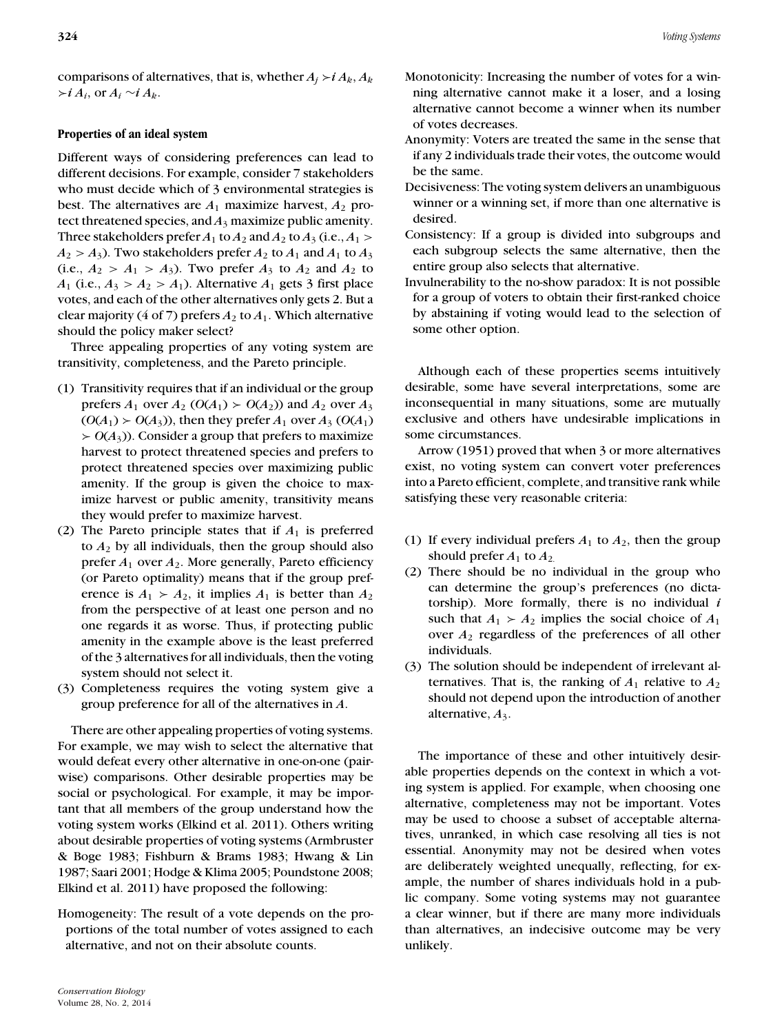comparisons of alternatives, that is, whether  $A_j \succ i A_k$ ,  $A_k$  $\succ i A_i$ , or  $A_i$  ∼*i*  $A_k$ .

# **Properties of an ideal system**

Different ways of considering preferences can lead to different decisions. For example, consider 7 stakeholders who must decide which of 3 environmental strategies is best. The alternatives are  $A_1$  maximize harvest,  $A_2$  protect threatened species, and  $A_3$  maximize public amenity. Three stakeholders prefer  $A_1$  to  $A_2$  and  $A_2$  to  $A_3$  (i.e.,  $A_1$  >  $A_2 > A_3$ ). Two stakeholders prefer  $A_2$  to  $A_1$  and  $A_1$  to  $A_3$ (i.e.,  $A_2 > A_1 > A_3$ ). Two prefer  $A_3$  to  $A_2$  and  $A_2$  to  $A_1$  (i.e.,  $A_3 > A_2 > A_1$ ). Alternative  $A_1$  gets 3 first place votes, and each of the other alternatives only gets 2. But a clear majority (4 of 7) prefers  $A_2$  to  $A_1$ . Which alternative should the policy maker select?

Three appealing properties of any voting system are transitivity, completeness, and the Pareto principle.

- (1) Transitivity requires that if an individual or the group prefers  $A_1$  over  $A_2$  ( $O(A_1) > O(A_2)$ ) and  $A_2$  over  $A_3$  $(O(A_1) \geq O(A_3))$ , then they prefer  $A_1$  over  $A_3$  ( $O(A_1)$ )  $\geq O(A_3)$ ). Consider a group that prefers to maximize harvest to protect threatened species and prefers to protect threatened species over maximizing public amenity. If the group is given the choice to maximize harvest or public amenity, transitivity means they would prefer to maximize harvest.
- (2) The Pareto principle states that if  $A_1$  is preferred to  $A_2$  by all individuals, then the group should also prefer  $A_1$  over  $A_2$ . More generally, Pareto efficiency (or Pareto optimality) means that if the group preference is  $A_1 \succ A_2$ , it implies  $A_1$  is better than  $A_2$ from the perspective of at least one person and no one regards it as worse. Thus, if protecting public amenity in the example above is the least preferred of the 3 alternatives for all individuals, then the voting system should not select it.
- (3) Completeness requires the voting system give a group preference for all of the alternatives in *A*.

There are other appealing properties of voting systems. For example, we may wish to select the alternative that would defeat every other alternative in one-on-one (pairwise) comparisons. Other desirable properties may be social or psychological. For example, it may be important that all members of the group understand how the voting system works (Elkind et al. 2011). Others writing about desirable properties of voting systems (Armbruster & Boge 1983; Fishburn & Brams 1983; Hwang & Lin 1987; Saari 2001; Hodge & Klima 2005; Poundstone 2008; Elkind et al. 2011) have proposed the following:

Homogeneity: The result of a vote depends on the proportions of the total number of votes assigned to each alternative, and not on their absolute counts.

- Monotonicity: Increasing the number of votes for a winning alternative cannot make it a loser, and a losing alternative cannot become a winner when its number of votes decreases.
- Anonymity: Voters are treated the same in the sense that if any 2 individuals trade their votes, the outcome would be the same.
- Decisiveness: The voting system delivers an unambiguous winner or a winning set, if more than one alternative is desired.
- Consistency: If a group is divided into subgroups and each subgroup selects the same alternative, then the entire group also selects that alternative.
- Invulnerability to the no-show paradox: It is not possible for a group of voters to obtain their first-ranked choice by abstaining if voting would lead to the selection of some other option.

Although each of these properties seems intuitively desirable, some have several interpretations, some are inconsequential in many situations, some are mutually exclusive and others have undesirable implications in some circumstances.

Arrow (1951) proved that when 3 or more alternatives exist, no voting system can convert voter preferences into a Pareto efficient, complete, and transitive rank while satisfying these very reasonable criteria:

- (1) If every individual prefers  $A_1$  to  $A_2$ , then the group should prefer  $A_1$  to  $A_2$ .
- (2) There should be no individual in the group who can determine the group's preferences (no dictatorship). More formally, there is no individual *i* such that  $A_1 \succ A_2$  implies the social choice of  $A_1$ over *A*<sup>2</sup> regardless of the preferences of all other individuals.
- (3) The solution should be independent of irrelevant alternatives. That is, the ranking of  $A_1$  relative to  $A_2$ should not depend upon the introduction of another alternative, *A*3.

The importance of these and other intuitively desirable properties depends on the context in which a voting system is applied. For example, when choosing one alternative, completeness may not be important. Votes may be used to choose a subset of acceptable alternatives, unranked, in which case resolving all ties is not essential. Anonymity may not be desired when votes are deliberately weighted unequally, reflecting, for example, the number of shares individuals hold in a public company. Some voting systems may not guarantee a clear winner, but if there are many more individuals than alternatives, an indecisive outcome may be very unlikely.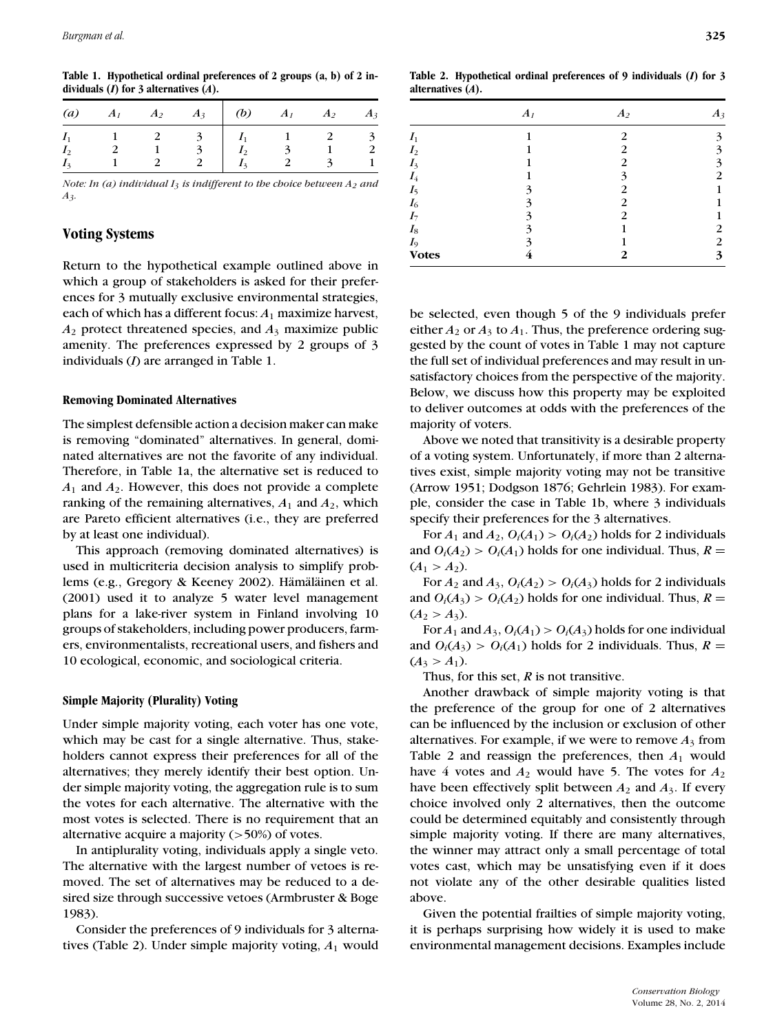**Table 1. Hypothetical ordinal preferences of 2 groups (a, b) of 2 individuals (***I***) for 3 alternatives (***A***).**

|  | (a) $A_1$ $A_2$ $A_3$ (b) $A_1$ $A_2$ $A_3$                                   |               |   |  |
|--|-------------------------------------------------------------------------------|---------------|---|--|
|  |                                                                               |               | 2 |  |
|  | $\begin{array}{ccc c} 1 & 2 & 3 & I_1 & 1 \\ 2 & 1 & 3 & I_2 & 3 \end{array}$ |               |   |  |
|  |                                                                               | $\mathcal{P}$ |   |  |

*Note: In (a) individual I<sub>3</sub> is indifferent to the choice between A<sub>2</sub> and A3.*

# **Voting Systems**

Return to the hypothetical example outlined above in which a group of stakeholders is asked for their preferences for 3 mutually exclusive environmental strategies, each of which has a different focus:  $A_1$  maximize harvest, *A*<sup>2</sup> protect threatened species, and *A*<sup>3</sup> maximize public amenity. The preferences expressed by 2 groups of 3 individuals (*I*) are arranged in Table 1.

#### **Removing Dominated Alternatives**

The simplest defensible action a decision maker can make is removing "dominated" alternatives. In general, dominated alternatives are not the favorite of any individual. Therefore, in Table 1a, the alternative set is reduced to *A*<sup>1</sup> and *A*2. However, this does not provide a complete ranking of the remaining alternatives,  $A_1$  and  $A_2$ , which are Pareto efficient alternatives (i.e., they are preferred by at least one individual).

This approach (removing dominated alternatives) is used in multicriteria decision analysis to simplify problems (e.g., Gregory & Keeney 2002). Hämäläinen et al. (2001) used it to analyze 5 water level management plans for a lake-river system in Finland involving 10 groups of stakeholders, including power producers, farmers, environmentalists, recreational users, and fishers and 10 ecological, economic, and sociological criteria.

# **Simple Majority (Plurality) Voting**

Under simple majority voting, each voter has one vote, which may be cast for a single alternative. Thus, stakeholders cannot express their preferences for all of the alternatives; they merely identify their best option. Under simple majority voting, the aggregation rule is to sum the votes for each alternative. The alternative with the most votes is selected. There is no requirement that an alternative acquire a majority (>50%) of votes.

In antiplurality voting, individuals apply a single veto. The alternative with the largest number of vetoes is removed. The set of alternatives may be reduced to a desired size through successive vetoes (Armbruster & Boge 1983).

Consider the preferences of 9 individuals for 3 alternatives (Table 2). Under simple majority voting,  $A_1$  would

**Table 2. Hypothetical ordinal preferences of 9 individuals (***I***) for 3 alternatives (***A***).**

|                | $A_I$ | $A_2$          | $A_3$ |
|----------------|-------|----------------|-------|
| $I_1$          |       | $\overline{c}$ | 3     |
| I <sub>2</sub> |       | $\overline{2}$ | 3     |
| $I_3$          |       | $\overline{2}$ | 3     |
| $I_4$          |       | 3              | 2     |
| $I_5$          | 3     | $\overline{2}$ |       |
| $I_6$          | 3     | $\overline{c}$ |       |
| $I_7$          | 3     | $\overline{c}$ |       |
| $I_8$          | 3     |                | 2     |
| $I_9$          | 3     |                | 2     |
| <b>Votes</b>   |       | 2              | 3     |

be selected, even though 5 of the 9 individuals prefer either  $A_2$  or  $A_3$  to  $A_1$ . Thus, the preference ordering suggested by the count of votes in Table 1 may not capture the full set of individual preferences and may result in unsatisfactory choices from the perspective of the majority. Below, we discuss how this property may be exploited to deliver outcomes at odds with the preferences of the majority of voters.

Above we noted that transitivity is a desirable property of a voting system. Unfortunately, if more than 2 alternatives exist, simple majority voting may not be transitive (Arrow 1951; Dodgson 1876; Gehrlein 1983). For example, consider the case in Table 1b, where 3 individuals specify their preferences for the 3 alternatives.

For  $A_1$  and  $A_2$ ,  $O_i(A_1) > O_i(A_2)$  holds for 2 individuals and  $O_i(A_2) > O_i(A_1)$  holds for one individual. Thus,  $R =$  $(A_1 > A_2).$ 

For  $A_2$  and  $A_3$ ,  $O_i(A_2) > O_i(A_3)$  holds for 2 individuals and  $O_i(A_3) > O_i(A_2)$  holds for one individual. Thus,  $R =$  $(A_2 > A_3).$ 

For  $A_1$  and  $A_3$ ,  $O_i(A_1) > O_i(A_3)$  holds for one individual and  $O_i(A_3) > O_i(A_1)$  holds for 2 individuals. Thus,  $R =$  $(A_3 > A_1).$ 

Thus, for this set, *R* is not transitive.

Another drawback of simple majority voting is that the preference of the group for one of 2 alternatives can be influenced by the inclusion or exclusion of other alternatives. For example, if we were to remove  $A_3$  from Table 2 and reassign the preferences, then  $A_1$  would have 4 votes and  $A_2$  would have 5. The votes for  $A_2$ have been effectively split between  $A_2$  and  $A_3$ . If every choice involved only 2 alternatives, then the outcome could be determined equitably and consistently through simple majority voting. If there are many alternatives, the winner may attract only a small percentage of total votes cast, which may be unsatisfying even if it does not violate any of the other desirable qualities listed above.

Given the potential frailties of simple majority voting, it is perhaps surprising how widely it is used to make environmental management decisions. Examples include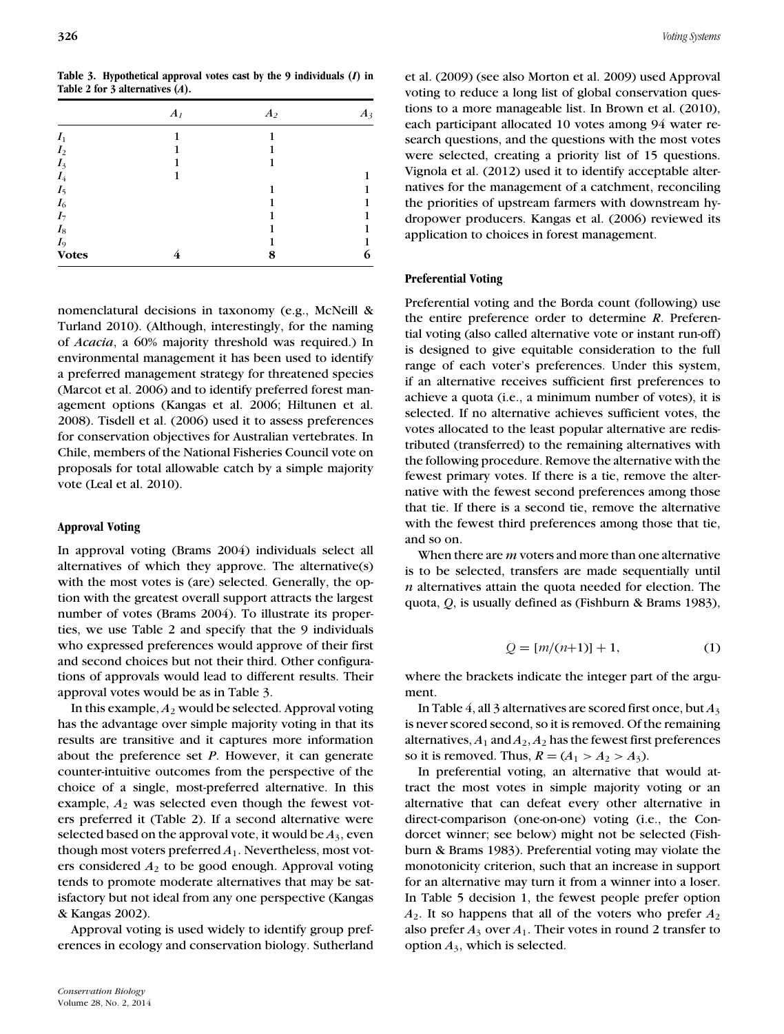**Table 3. Hypothetical approval votes cast by the 9 individuals (***I***) in Table 2 for 3 alternatives (***A***).**

|                | $A_I$ | A <sub>2</sub> | $A_3$ |
|----------------|-------|----------------|-------|
| $I_1$          |       |                |       |
| I <sub>2</sub> |       |                |       |
| $I_3$          |       |                |       |
| $I_4$          |       |                |       |
| $I_5$          |       |                |       |
| $I_6$          |       |                |       |
| $I_7$          |       |                |       |
| $I_8$          |       |                |       |
| $I_9$          |       |                |       |
| <b>Votes</b>   | 4     | 8              | 6     |

nomenclatural decisions in taxonomy (e.g., McNeill & Turland 2010). (Although, interestingly, for the naming of *Acacia*, a 60% majority threshold was required.) In environmental management it has been used to identify a preferred management strategy for threatened species (Marcot et al. 2006) and to identify preferred forest management options (Kangas et al. 2006; Hiltunen et al. 2008). Tisdell et al. (2006) used it to assess preferences for conservation objectives for Australian vertebrates. In Chile, members of the National Fisheries Council vote on proposals for total allowable catch by a simple majority vote (Leal et al. 2010).

#### **Approval Voting**

In approval voting (Brams 2004) individuals select all alternatives of which they approve. The alternative(s) with the most votes is (are) selected. Generally, the option with the greatest overall support attracts the largest number of votes (Brams 2004). To illustrate its properties, we use Table 2 and specify that the 9 individuals who expressed preferences would approve of their first and second choices but not their third. Other configurations of approvals would lead to different results. Their approval votes would be as in Table 3.

In this example, *A*<sup>2</sup> would be selected. Approval voting has the advantage over simple majority voting in that its results are transitive and it captures more information about the preference set *P*. However, it can generate counter-intuitive outcomes from the perspective of the choice of a single, most-preferred alternative. In this example,  $A_2$  was selected even though the fewest voters preferred it (Table 2). If a second alternative were selected based on the approval vote, it would be  $A_3$ , even though most voters preferred *A*1. Nevertheless, most voters considered  $A_2$  to be good enough. Approval voting tends to promote moderate alternatives that may be satisfactory but not ideal from any one perspective (Kangas & Kangas 2002).

Approval voting is used widely to identify group preferences in ecology and conservation biology. Sutherland

et al. (2009) (see also Morton et al. 2009) used Approval voting to reduce a long list of global conservation questions to a more manageable list. In Brown et al. (2010), each participant allocated 10 votes among 94 water research questions, and the questions with the most votes were selected, creating a priority list of 15 questions. Vignola et al. (2012) used it to identify acceptable alternatives for the management of a catchment, reconciling the priorities of upstream farmers with downstream hydropower producers. Kangas et al. (2006) reviewed its application to choices in forest management.

### **Preferential Voting**

Preferential voting and the Borda count (following) use the entire preference order to determine *R*. Preferential voting (also called alternative vote or instant run-off) is designed to give equitable consideration to the full range of each voter's preferences. Under this system, if an alternative receives sufficient first preferences to achieve a quota (i.e., a minimum number of votes), it is selected. If no alternative achieves sufficient votes, the votes allocated to the least popular alternative are redistributed (transferred) to the remaining alternatives with the following procedure. Remove the alternative with the fewest primary votes. If there is a tie, remove the alternative with the fewest second preferences among those that tie. If there is a second tie, remove the alternative with the fewest third preferences among those that tie, and so on.

When there are *m* voters and more than one alternative is to be selected, transfers are made sequentially until *n* alternatives attain the quota needed for election. The quota, *Q*, is usually defined as (Fishburn & Brams 1983),

$$
Q = [m/(n+1)] + 1,
$$
 (1)

where the brackets indicate the integer part of the argument.

In Table 4, all 3 alternatives are scored first once, but *A*<sup>3</sup> is never scored second, so it is removed. Of the remaining alternatives,  $A_1$  and  $A_2$ ,  $A_2$  has the fewest first preferences so it is removed. Thus,  $R = (A_1 > A_2 > A_3)$ .

In preferential voting, an alternative that would attract the most votes in simple majority voting or an alternative that can defeat every other alternative in direct-comparison (one-on-one) voting (i.e., the Condorcet winner; see below) might not be selected (Fishburn & Brams 1983). Preferential voting may violate the monotonicity criterion, such that an increase in support for an alternative may turn it from a winner into a loser. In Table 5 decision 1, the fewest people prefer option *A*2. It so happens that all of the voters who prefer *A*<sup>2</sup> also prefer  $A_3$  over  $A_1$ . Their votes in round 2 transfer to option *A*3, which is selected.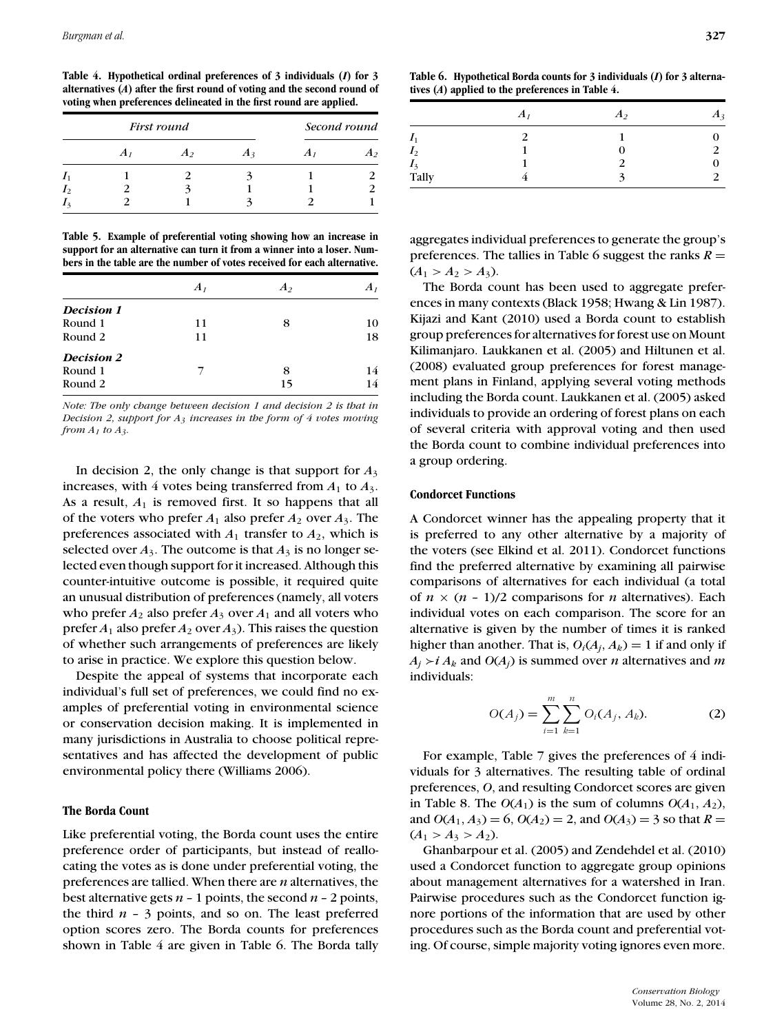**Table 4. Hypothetical ordinal preferences of 3 individuals (***I***) for 3 alternatives (***A***) after the first round of voting and the second round of voting when preferences delineated in the first round are applied.**

| First round |                |                |       |    | Second round |
|-------------|----------------|----------------|-------|----|--------------|
|             | A <sub>i</sub> | A <sub>2</sub> | $A_3$ | A1 | A 2          |
|             |                |                |       |    |              |
| $I_{2}$     |                |                |       |    |              |
|             |                |                |       |    |              |

**Table 5. Example of preferential voting showing how an increase in support for an alternative can turn it from a winner into a loser. Numbers in the table are the number of votes received for each alternative.**

|                   | A <sub>I</sub> | A <sub>2</sub> | A <sub>1</sub> |
|-------------------|----------------|----------------|----------------|
| <b>Decision 1</b> |                |                |                |
| Round 1           | 11             | 8              | 10             |
| Round 2           | 11             |                | 18             |
| <b>Decision 2</b> |                |                |                |
| Round 1           |                | 8              | 14             |
| Round 2           |                | 15             | 14             |

*Note: The only change between decision 1 and decision 2 is that in Decision 2, support for A3 increases in the form of 4 votes moving from*  $A_1$  *to*  $A_3$ *.* 

In decision 2, the only change is that support for  $A_3$ increases, with 4 votes being transferred from  $A_1$  to  $A_3$ . As a result,  $A_1$  is removed first. It so happens that all of the voters who prefer  $A_1$  also prefer  $A_2$  over  $A_3$ . The preferences associated with  $A_1$  transfer to  $A_2$ , which is selected over  $A_3$ . The outcome is that  $A_3$  is no longer selected even though support for it increased. Although this counter-intuitive outcome is possible, it required quite an unusual distribution of preferences (namely, all voters who prefer  $A_2$  also prefer  $A_3$  over  $A_1$  and all voters who prefer  $A_1$  also prefer  $A_2$  over  $A_3$ ). This raises the question of whether such arrangements of preferences are likely to arise in practice. We explore this question below.

Despite the appeal of systems that incorporate each individual's full set of preferences, we could find no examples of preferential voting in environmental science or conservation decision making. It is implemented in many jurisdictions in Australia to choose political representatives and has affected the development of public environmental policy there (Williams 2006).

#### **The Borda Count**

Like preferential voting, the Borda count uses the entire preference order of participants, but instead of reallocating the votes as is done under preferential voting, the preferences are tallied. When there are *n* alternatives, the best alternative gets *n* – 1 points, the second *n* – 2 points, the third  $n - 3$  points, and so on. The least preferred option scores zero. The Borda counts for preferences shown in Table 4 are given in Table 6. The Borda tally

**Table 6. Hypothetical Borda counts for 3 individuals (***I***) for 3 alternatives (***A***) applied to the preferences in Table 4.**

|       | $A_I$ | $A_2$  | $A_3$ |
|-------|-------|--------|-------|
| $I_1$ |       |        |       |
| $I_2$ |       | 0      | ာ     |
| $I_3$ |       | 2      |       |
| Tally |       | -<br>Ć |       |

aggregates individual preferences to generate the group's preferences. The tallies in Table 6 suggest the ranks  $R =$  $(A_1 > A_2 > A_3).$ 

The Borda count has been used to aggregate preferences in many contexts (Black 1958; Hwang & Lin 1987). Kijazi and Kant (2010) used a Borda count to establish group preferences for alternatives for forest use on Mount Kilimanjaro. Laukkanen et al. (2005) and Hiltunen et al. (2008) evaluated group preferences for forest management plans in Finland, applying several voting methods including the Borda count. Laukkanen et al. (2005) asked individuals to provide an ordering of forest plans on each of several criteria with approval voting and then used the Borda count to combine individual preferences into a group ordering.

#### **Condorcet Functions**

A Condorcet winner has the appealing property that it is preferred to any other alternative by a majority of the voters (see Elkind et al. 2011). Condorcet functions find the preferred alternative by examining all pairwise comparisons of alternatives for each individual (a total of  $n \times (n-1)/2$  comparisons for *n* alternatives). Each individual votes on each comparison. The score for an alternative is given by the number of times it is ranked higher than another. That is,  $O_i(A_i, A_k) = 1$  if and only if  $A_j \ge i A_k$  and  $O(A_j)$  is summed over *n* alternatives and *m* individuals:

$$
O(A_j) = \sum_{i=1}^{m} \sum_{k=1}^{n} O_i(A_j, A_k).
$$
 (2)

For example, Table 7 gives the preferences of 4 individuals for 3 alternatives. The resulting table of ordinal preferences, *O*, and resulting Condorcet scores are given in Table 8. The  $O(A_1)$  is the sum of columns  $O(A_1, A_2)$ , and  $O(A_1, A_3) = 6$ ,  $O(A_2) = 2$ , and  $O(A_3) = 3$  so that  $R =$  $(A_1 > A_3 > A_2).$ 

Ghanbarpour et al. (2005) and Zendehdel et al. (2010) used a Condorcet function to aggregate group opinions about management alternatives for a watershed in Iran. Pairwise procedures such as the Condorcet function ignore portions of the information that are used by other procedures such as the Borda count and preferential voting. Of course, simple majority voting ignores even more.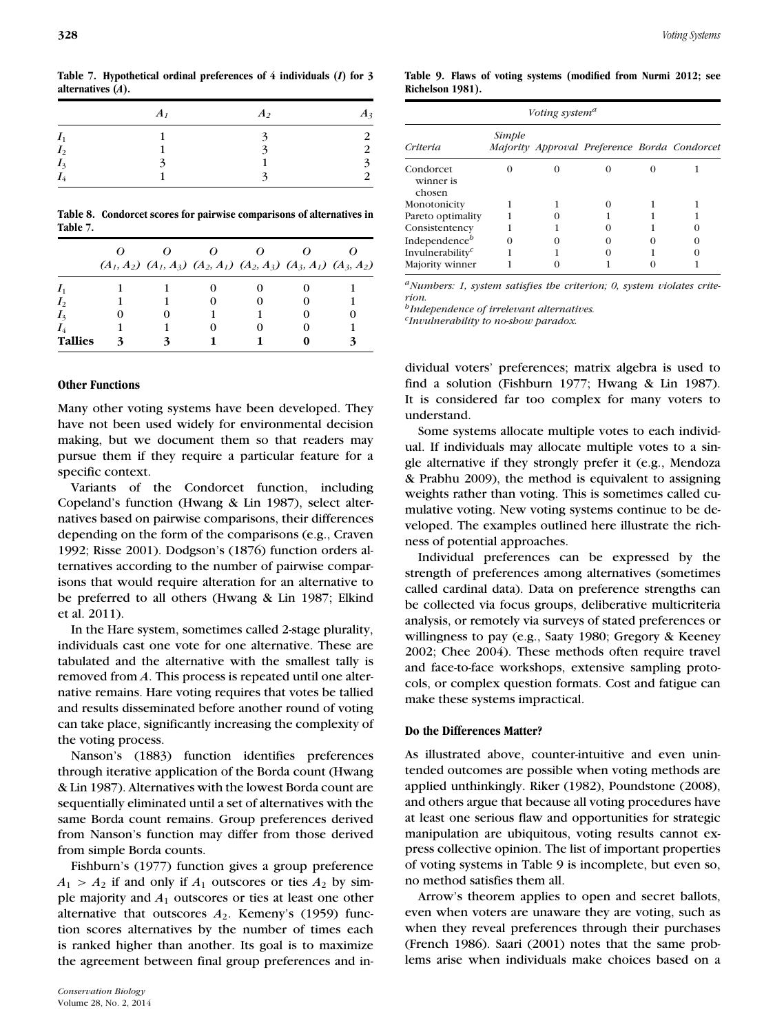**Table 7. Hypothetical ordinal preferences of 4 individuals (***I***) for 3 alternatives (***A***).**

|                | $A_I$              | $A_2$                   | $A_3$          |
|----------------|--------------------|-------------------------|----------------|
|                |                    | $\rightarrow$<br>Ć      | 2              |
| I <sub>2</sub> |                    | $\overline{\mathbf{z}}$ | $\overline{2}$ |
| $I_3$          | $\rightarrow$<br>́ |                         | $\mathfrak{Z}$ |
|                |                    | 3                       | $\overline{2}$ |

**Table 8. Condorcet scores for pairwise comparisons of alternatives in Table 7.**

|                         |  | $(A_1, A_2)$ $(A_1, A_3)$ $(A_2, A_1)$ $(A_2, A_3)$ $(A_3, A_1)$ $(A_3, A_2)$ |  |  |
|-------------------------|--|-------------------------------------------------------------------------------|--|--|
| $I_1$<br>I <sub>2</sub> |  |                                                                               |  |  |
| $I_3$<br>$I_4$          |  |                                                                               |  |  |
| <b>Tallies</b>          |  |                                                                               |  |  |

# **Other Functions**

Many other voting systems have been developed. They have not been used widely for environmental decision making, but we document them so that readers may pursue them if they require a particular feature for a specific context.

Variants of the Condorcet function, including Copeland's function (Hwang & Lin 1987), select alternatives based on pairwise comparisons, their differences depending on the form of the comparisons (e.g., Craven 1992; Risse 2001). Dodgson's (1876) function orders alternatives according to the number of pairwise comparisons that would require alteration for an alternative to be preferred to all others (Hwang & Lin 1987; Elkind et al. 2011).

In the Hare system, sometimes called 2-stage plurality, individuals cast one vote for one alternative. These are tabulated and the alternative with the smallest tally is removed from *A*. This process is repeated until one alternative remains. Hare voting requires that votes be tallied and results disseminated before another round of voting can take place, significantly increasing the complexity of the voting process.

Nanson's (1883) function identifies preferences through iterative application of the Borda count (Hwang & Lin 1987). Alternatives with the lowest Borda count are sequentially eliminated until a set of alternatives with the same Borda count remains. Group preferences derived from Nanson's function may differ from those derived from simple Borda counts.

Fishburn's (1977) function gives a group preference  $A_1 > A_2$  if and only if  $A_1$  outscores or ties  $A_2$  by simple majority and *A*<sup>1</sup> outscores or ties at least one other alternative that outscores  $A_2$ . Kemeny's (1959) function scores alternatives by the number of times each is ranked higher than another. Its goal is to maximize the agreement between final group preferences and in-

**Table 9. Flaws of voting systems (modified from Nurmi 2012; see Richelson 1981).**

| Voting system <sup>a</sup>       |        |  |                                              |  |  |  |
|----------------------------------|--------|--|----------------------------------------------|--|--|--|
| Criteria                         | Simple |  | Majority Approval Preference Borda Condorcet |  |  |  |
| Condorcet<br>winner is<br>chosen |        |  |                                              |  |  |  |
| Monotonicity                     |        |  |                                              |  |  |  |
| Pareto optimality                |        |  |                                              |  |  |  |
| Consistentency                   |        |  |                                              |  |  |  |
| Independence <sup>b</sup>        |        |  |                                              |  |  |  |
| Invulnerability $^c$             |        |  |                                              |  |  |  |
| Majority winner                  |        |  |                                              |  |  |  |

*aNumbers: 1, system satisfies the criterion; 0, system violates criterion.*

*bIndependence of irrelevant alternatives.*

*cInvulnerability to no-show paradox.*

dividual voters' preferences; matrix algebra is used to find a solution (Fishburn 1977; Hwang & Lin 1987). It is considered far too complex for many voters to understand.

Some systems allocate multiple votes to each individual. If individuals may allocate multiple votes to a single alternative if they strongly prefer it (e.g., Mendoza & Prabhu 2009), the method is equivalent to assigning weights rather than voting. This is sometimes called cumulative voting. New voting systems continue to be developed. The examples outlined here illustrate the richness of potential approaches.

Individual preferences can be expressed by the strength of preferences among alternatives (sometimes called cardinal data). Data on preference strengths can be collected via focus groups, deliberative multicriteria analysis, or remotely via surveys of stated preferences or willingness to pay (e.g., Saaty 1980; Gregory & Keeney 2002; Chee 2004). These methods often require travel and face-to-face workshops, extensive sampling protocols, or complex question formats. Cost and fatigue can make these systems impractical.

# **Do the Differences Matter?**

As illustrated above, counter-intuitive and even unintended outcomes are possible when voting methods are applied unthinkingly. Riker (1982), Poundstone (2008), and others argue that because all voting procedures have at least one serious flaw and opportunities for strategic manipulation are ubiquitous, voting results cannot express collective opinion. The list of important properties of voting systems in Table 9 is incomplete, but even so, no method satisfies them all.

Arrow's theorem applies to open and secret ballots, even when voters are unaware they are voting, such as when they reveal preferences through their purchases (French 1986). Saari (2001) notes that the same problems arise when individuals make choices based on a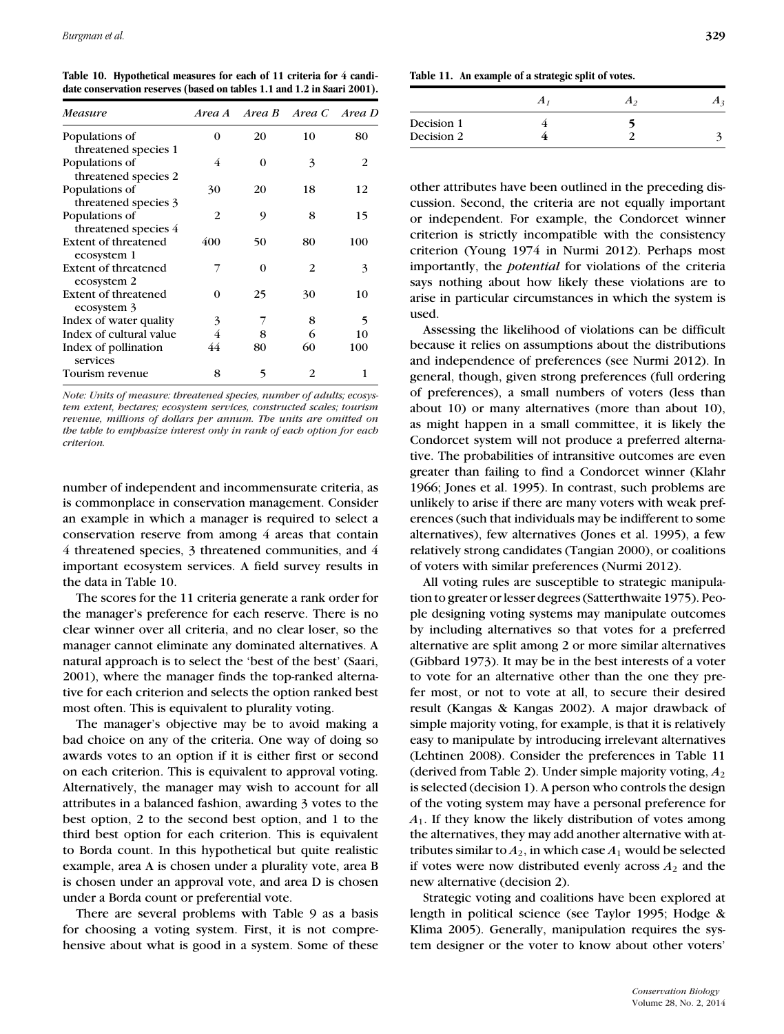**Table 10. Hypothetical measures for each of 11 criteria for 4 candidate conservation reserves (based on tables 1.1 and 1.2 in Saari 2001).**

| Measure                                    |     |    | Area A Area B Area C Area D |     |
|--------------------------------------------|-----|----|-----------------------------|-----|
| Populations of                             | 0   | 20 | 10                          | 80  |
| threatened species 1                       |     |    |                             |     |
| Populations of                             | 4   | 0  | 3                           | 2   |
| threatened species 2                       |     |    |                             |     |
| Populations of                             | 30  | 20 | 18                          | 12  |
| threatened species 3                       |     |    |                             |     |
| Populations of                             | 2   | 9  | 8                           | 15  |
| threatened species 4                       |     |    |                             |     |
| <b>Extent of threatened</b><br>ecosystem 1 | 400 | 50 | 80                          | 100 |
| Extent of threatened<br>ecosystem 2        | 7   | 0  | 2                           | 3   |
| <b>Extent of threatened</b><br>ecosystem 3 | 0   | 25 | 30                          | 10  |
| Index of water quality                     | 3   |    | 8                           | 5   |
| Index of cultural value                    | 4   | 8  | 6                           | 10  |
| Index of pollination<br>services           | 44  | 80 | 60                          | 100 |
| Tourism revenue                            | 8   | 5  | 2                           |     |

*Note: Units of measure: threatened species, number of adults; ecosystem extent, hectares; ecosystem services, constructed scales; tourism revenue, millions of dollars per annum. The units are omitted on the table to emphasize interest only in rank of each option for each criterion.*

number of independent and incommensurate criteria, as is commonplace in conservation management. Consider an example in which a manager is required to select a conservation reserve from among 4 areas that contain 4 threatened species, 3 threatened communities, and 4 important ecosystem services. A field survey results in the data in Table 10.

The scores for the 11 criteria generate a rank order for the manager's preference for each reserve. There is no clear winner over all criteria, and no clear loser, so the manager cannot eliminate any dominated alternatives. A natural approach is to select the 'best of the best' (Saari, 2001), where the manager finds the top-ranked alternative for each criterion and selects the option ranked best most often. This is equivalent to plurality voting.

The manager's objective may be to avoid making a bad choice on any of the criteria. One way of doing so awards votes to an option if it is either first or second on each criterion. This is equivalent to approval voting. Alternatively, the manager may wish to account for all attributes in a balanced fashion, awarding 3 votes to the best option, 2 to the second best option, and 1 to the third best option for each criterion. This is equivalent to Borda count. In this hypothetical but quite realistic example, area A is chosen under a plurality vote, area B is chosen under an approval vote, and area D is chosen under a Borda count or preferential vote.

There are several problems with Table 9 as a basis for choosing a voting system. First, it is not comprehensive about what is good in a system. Some of these

|            | A <sub>2</sub> |  |
|------------|----------------|--|
| Decision 1 |                |  |
| Decision 2 |                |  |

other attributes have been outlined in the preceding discussion. Second, the criteria are not equally important or independent. For example, the Condorcet winner criterion is strictly incompatible with the consistency criterion (Young 1974 in Nurmi 2012). Perhaps most importantly, the *potential* for violations of the criteria says nothing about how likely these violations are to arise in particular circumstances in which the system is used.

Assessing the likelihood of violations can be difficult because it relies on assumptions about the distributions and independence of preferences (see Nurmi 2012). In general, though, given strong preferences (full ordering of preferences), a small numbers of voters (less than about 10) or many alternatives (more than about 10), as might happen in a small committee, it is likely the Condorcet system will not produce a preferred alternative. The probabilities of intransitive outcomes are even greater than failing to find a Condorcet winner (Klahr 1966; Jones et al. 1995). In contrast, such problems are unlikely to arise if there are many voters with weak preferences (such that individuals may be indifferent to some alternatives), few alternatives (Jones et al. 1995), a few relatively strong candidates (Tangian 2000), or coalitions of voters with similar preferences (Nurmi 2012).

All voting rules are susceptible to strategic manipulation to greater or lesser degrees (Satterthwaite 1975). People designing voting systems may manipulate outcomes by including alternatives so that votes for a preferred alternative are split among 2 or more similar alternatives (Gibbard 1973). It may be in the best interests of a voter to vote for an alternative other than the one they prefer most, or not to vote at all, to secure their desired result (Kangas & Kangas 2002). A major drawback of simple majority voting, for example, is that it is relatively easy to manipulate by introducing irrelevant alternatives (Lehtinen 2008). Consider the preferences in Table 11 (derived from Table 2). Under simple majority voting, *A*<sup>2</sup> is selected (decision 1). A person who controls the design of the voting system may have a personal preference for *A*1. If they know the likely distribution of votes among the alternatives, they may add another alternative with attributes similar to  $A_2$ , in which case  $A_1$  would be selected if votes were now distributed evenly across  $A_2$  and the new alternative (decision 2).

Strategic voting and coalitions have been explored at length in political science (see Taylor 1995; Hodge & Klima 2005). Generally, manipulation requires the system designer or the voter to know about other voters'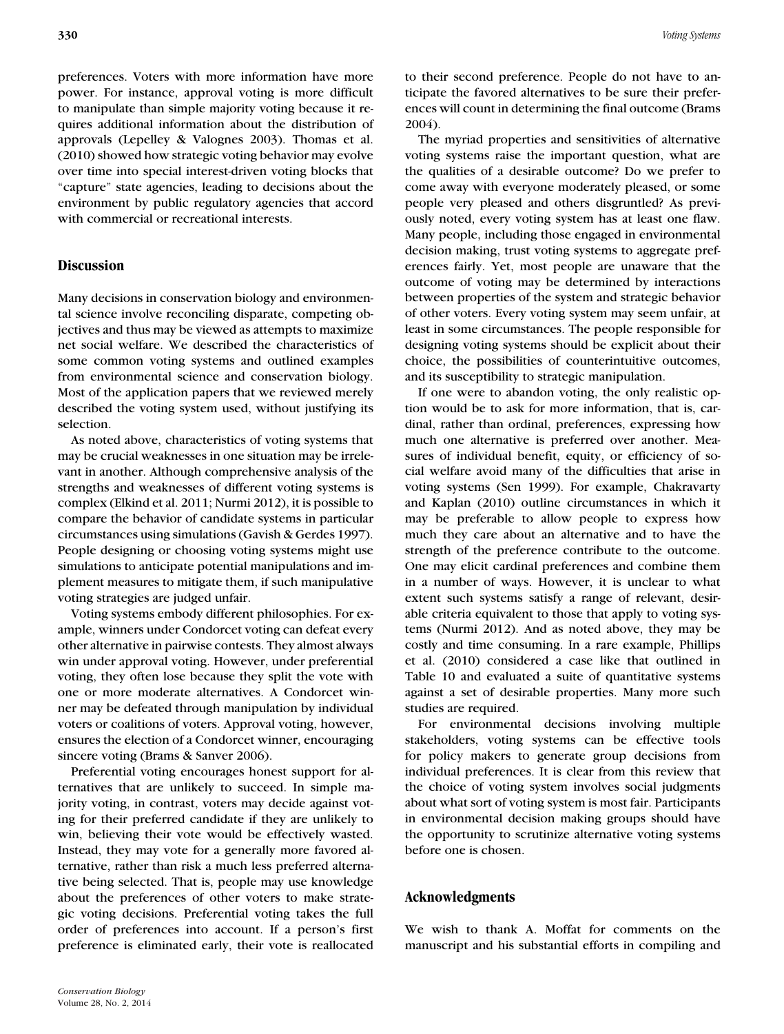preferences. Voters with more information have more power. For instance, approval voting is more difficult to manipulate than simple majority voting because it requires additional information about the distribution of approvals (Lepelley & Valognes 2003). Thomas et al. (2010) showed how strategic voting behavior may evolve over time into special interest-driven voting blocks that "capture" state agencies, leading to decisions about the environment by public regulatory agencies that accord with commercial or recreational interests.

# **Discussion**

Many decisions in conservation biology and environmental science involve reconciling disparate, competing objectives and thus may be viewed as attempts to maximize net social welfare. We described the characteristics of some common voting systems and outlined examples from environmental science and conservation biology. Most of the application papers that we reviewed merely described the voting system used, without justifying its selection.

As noted above, characteristics of voting systems that may be crucial weaknesses in one situation may be irrelevant in another. Although comprehensive analysis of the strengths and weaknesses of different voting systems is complex (Elkind et al. 2011; Nurmi 2012), it is possible to compare the behavior of candidate systems in particular circumstances using simulations (Gavish & Gerdes 1997). People designing or choosing voting systems might use simulations to anticipate potential manipulations and implement measures to mitigate them, if such manipulative voting strategies are judged unfair.

Voting systems embody different philosophies. For example, winners under Condorcet voting can defeat every other alternative in pairwise contests. They almost always win under approval voting. However, under preferential voting, they often lose because they split the vote with one or more moderate alternatives. A Condorcet winner may be defeated through manipulation by individual voters or coalitions of voters. Approval voting, however, ensures the election of a Condorcet winner, encouraging sincere voting (Brams & Sanver 2006).

Preferential voting encourages honest support for alternatives that are unlikely to succeed. In simple majority voting, in contrast, voters may decide against voting for their preferred candidate if they are unlikely to win, believing their vote would be effectively wasted. Instead, they may vote for a generally more favored alternative, rather than risk a much less preferred alternative being selected. That is, people may use knowledge about the preferences of other voters to make strategic voting decisions. Preferential voting takes the full order of preferences into account. If a person's first preference is eliminated early, their vote is reallocated to their second preference. People do not have to anticipate the favored alternatives to be sure their preferences will count in determining the final outcome (Brams 2004).

The myriad properties and sensitivities of alternative voting systems raise the important question, what are the qualities of a desirable outcome? Do we prefer to come away with everyone moderately pleased, or some people very pleased and others disgruntled? As previously noted, every voting system has at least one flaw. Many people, including those engaged in environmental decision making, trust voting systems to aggregate preferences fairly. Yet, most people are unaware that the outcome of voting may be determined by interactions between properties of the system and strategic behavior of other voters. Every voting system may seem unfair, at least in some circumstances. The people responsible for designing voting systems should be explicit about their choice, the possibilities of counterintuitive outcomes, and its susceptibility to strategic manipulation.

If one were to abandon voting, the only realistic option would be to ask for more information, that is, cardinal, rather than ordinal, preferences, expressing how much one alternative is preferred over another. Measures of individual benefit, equity, or efficiency of social welfare avoid many of the difficulties that arise in voting systems (Sen 1999). For example, Chakravarty and Kaplan (2010) outline circumstances in which it may be preferable to allow people to express how much they care about an alternative and to have the strength of the preference contribute to the outcome. One may elicit cardinal preferences and combine them in a number of ways. However, it is unclear to what extent such systems satisfy a range of relevant, desirable criteria equivalent to those that apply to voting systems (Nurmi 2012). And as noted above, they may be costly and time consuming. In a rare example, Phillips et al. (2010) considered a case like that outlined in Table 10 and evaluated a suite of quantitative systems against a set of desirable properties. Many more such studies are required.

For environmental decisions involving multiple stakeholders, voting systems can be effective tools for policy makers to generate group decisions from individual preferences. It is clear from this review that the choice of voting system involves social judgments about what sort of voting system is most fair. Participants in environmental decision making groups should have the opportunity to scrutinize alternative voting systems before one is chosen.

# **Acknowledgments**

We wish to thank A. Moffat for comments on the manuscript and his substantial efforts in compiling and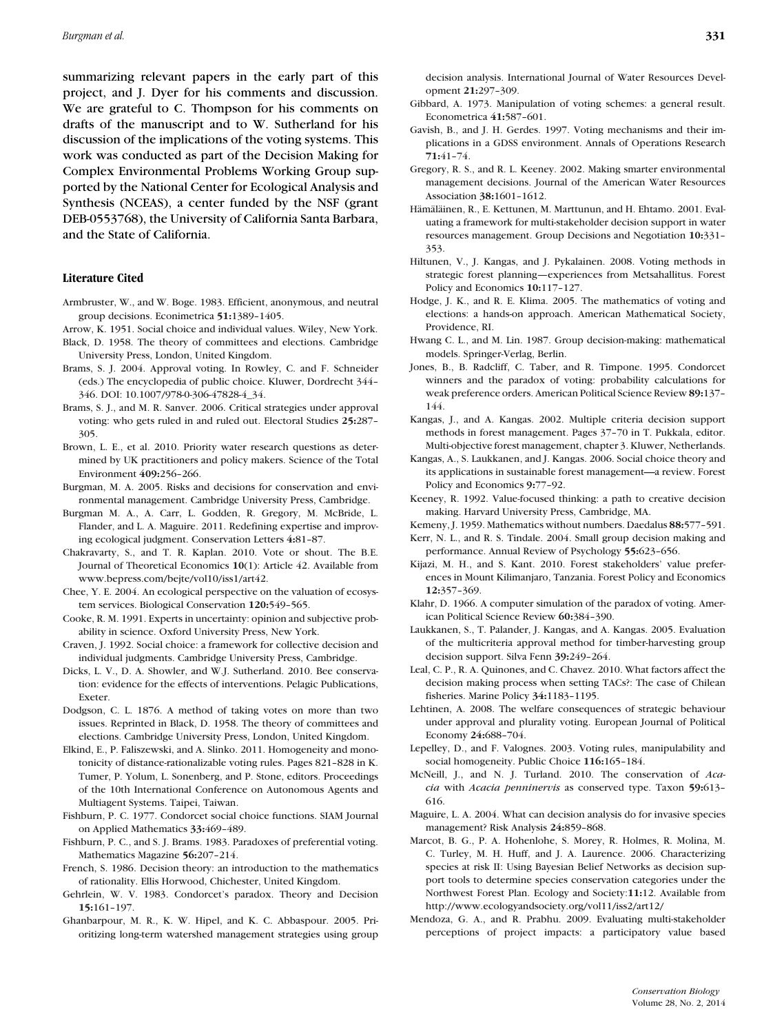summarizing relevant papers in the early part of this project, and J. Dyer for his comments and discussion. We are grateful to C. Thompson for his comments on drafts of the manuscript and to W. Sutherland for his discussion of the implications of the voting systems. This work was conducted as part of the Decision Making for Complex Environmental Problems Working Group supported by the National Center for Ecological Analysis and Synthesis (NCEAS), a center funded by the NSF (grant DEB-0553768), the University of California Santa Barbara, and the State of California.

#### **Literature Cited**

- Armbruster, W., and W. Boge. 1983. Efficient, anonymous, and neutral group decisions. Econimetrica **51:**1389–1405.
- Arrow, K. 1951. Social choice and individual values. Wiley, New York. Black, D. 1958. The theory of committees and elections. Cambridge University Press, London, United Kingdom.
- Brams, S. J. 2004. Approval voting. In Rowley, C. and F. Schneider (eds.) The encyclopedia of public choice. Kluwer, Dordrecht 344– 346. DOI: 10.1007/978-0-306-47828-4\_34.
- Brams, S. J., and M. R. Sanver. 2006. Critical strategies under approval voting: who gets ruled in and ruled out. Electoral Studies **25:**287– 305.
- Brown, L. E., et al. 2010. Priority water research questions as determined by UK practitioners and policy makers. Science of the Total Environment **409:**256–266.
- Burgman, M. A. 2005. Risks and decisions for conservation and environmental management. Cambridge University Press, Cambridge.
- Burgman M. A., A. Carr, L. Godden, R. Gregory, M. McBride, L. Flander, and L. A. Maguire. 2011. Redefining expertise and improving ecological judgment. Conservation Letters **4:**81–87.
- Chakravarty, S., and T. R. Kaplan. 2010. Vote or shout. The B.E. Journal of Theoretical Economics **10**(1): Article 42. Available from www.bepress.com/bejte/vol10/iss1/art42.
- Chee, Y. E. 2004. An ecological perspective on the valuation of ecosystem services. Biological Conservation **120:**549–565.
- Cooke, R. M. 1991. Experts in uncertainty: opinion and subjective probability in science. Oxford University Press, New York.
- Craven, J. 1992. Social choice: a framework for collective decision and individual judgments. Cambridge University Press, Cambridge.
- Dicks, L. V., D. A. Showler, and W.J. Sutherland. 2010. Bee conservation: evidence for the effects of interventions. Pelagic Publications, Exeter.
- Dodgson, C. L. 1876. A method of taking votes on more than two issues. Reprinted in Black, D. 1958. The theory of committees and elections. Cambridge University Press, London, United Kingdom.
- Elkind, E., P. Faliszewski, and A. Slinko. 2011. Homogeneity and monotonicity of distance-rationalizable voting rules. Pages 821–828 in K. Tumer, P. Yolum, L. Sonenberg, and P. Stone, editors. Proceedings of the 10th International Conference on Autonomous Agents and Multiagent Systems. Taipei, Taiwan.
- Fishburn, P. C. 1977. Condorcet social choice functions. SIAM Journal on Applied Mathematics **33:**469–489.
- Fishburn, P. C., and S. J. Brams. 1983. Paradoxes of preferential voting. Mathematics Magazine **56:**207–214.
- French, S. 1986. Decision theory: an introduction to the mathematics of rationality. Ellis Horwood, Chichester, United Kingdom.
- Gehrlein, W. V. 1983. Condorcet's paradox. Theory and Decision **15:**161–197.
- Ghanbarpour, M. R., K. W. Hipel, and K. C. Abbaspour. 2005. Prioritizing long-term watershed management strategies using group

decision analysis. International Journal of Water Resources Development **21:**297–309.

- Gibbard, A. 1973. Manipulation of voting schemes: a general result. Econometrica **41:**587–601.
- Gavish, B., and J. H. Gerdes. 1997. Voting mechanisms and their implications in a GDSS environment. Annals of Operations Research **71:**41–74.
- Gregory, R. S., and R. L. Keeney. 2002. Making smarter environmental management decisions. Journal of the American Water Resources Association **38:**1601–1612.
- Hämäläinen, R., E. Kettunen, M. Marttunun, and H. Ehtamo. 2001. Evaluating a framework for multi-stakeholder decision support in water resources management. Group Decisions and Negotiation **10:**331– 353.
- Hiltunen, V., J. Kangas, and J. Pykalainen. 2008. Voting methods in strategic forest planning—experiences from Metsahallitus. Forest Policy and Economics **10:**117–127.
- Hodge, J. K., and R. E. Klima. 2005. The mathematics of voting and elections: a hands-on approach. American Mathematical Society, Providence, RI.
- Hwang C. L., and M. Lin. 1987. Group decision-making: mathematical models. Springer-Verlag, Berlin.
- Jones, B., B. Radcliff, C. Taber, and R. Timpone. 1995. Condorcet winners and the paradox of voting: probability calculations for weak preference orders. American Political Science Review **89:**137– 144.
- Kangas, J., and A. Kangas. 2002. Multiple criteria decision support methods in forest management. Pages 37–70 in T. Pukkala, editor. Multi-objective forest management, chapter 3. Kluwer, Netherlands.
- Kangas, A., S. Laukkanen, and J. Kangas. 2006. Social choice theory and its applications in sustainable forest management**—**a review. Forest Policy and Economics **9:**77–92.
- Keeney, R. 1992. Value-focused thinking: a path to creative decision making. Harvard University Press, Cambridge, MA.
- Kemeny, J. 1959. Mathematics without numbers. Daedalus **88:**577–591.
- Kerr, N. L., and R. S. Tindale. 2004. Small group decision making and performance. Annual Review of Psychology **55:**623–656.
- Kijazi, M. H., and S. Kant. 2010. Forest stakeholders' value preferences in Mount Kilimanjaro, Tanzania. Forest Policy and Economics **12:**357–369.
- Klahr, D. 1966. A computer simulation of the paradox of voting. American Political Science Review **60:**384–390.
- Laukkanen, S., T. Palander, J. Kangas, and A. Kangas. 2005. Evaluation of the multicriteria approval method for timber-harvesting group decision support. Silva Fenn **39:**249–264.
- Leal, C. P., R. A. Quinones, and C. Chavez. 2010. What factors affect the decision making process when setting TACs?: The case of Chilean fisheries. Marine Policy **34:**1183–1195.
- Lehtinen, A. 2008. The welfare consequences of strategic behaviour under approval and plurality voting. European Journal of Political Economy **24:**688–704.
- Lepelley, D., and F. Valognes. 2003. Voting rules, manipulability and social homogeneity. Public Choice **116:**165–184.
- McNeill, J., and N. J. Turland. 2010. The conservation of *Acacia* with *Acacia penninervis* as conserved type. Taxon **59:**613– 616.
- Maguire, L. A. 2004. What can decision analysis do for invasive species management? Risk Analysis **24:**859–868.
- Marcot, B. G., P. A. Hohenlohe, S. Morey, R. Holmes, R. Molina, M. C. Turley, M. H. Huff, and J. A. Laurence. 2006. Characterizing species at risk II: Using Bayesian Belief Networks as decision support tools to determine species conservation categories under the Northwest Forest Plan. Ecology and Society:**11:**12. Available from http://www.ecologyandsociety.org/vol11/iss2/art12/
- Mendoza, G. A., and R. Prabhu. 2009. Evaluating multi-stakeholder perceptions of project impacts: a participatory value based